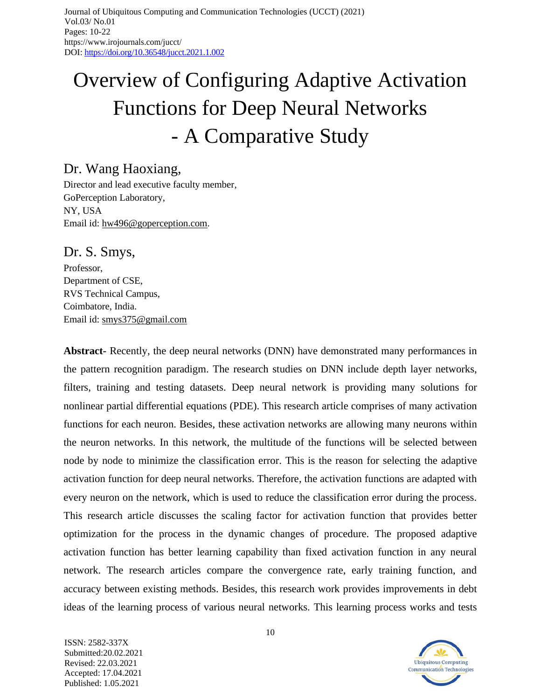# Overview of Configuring Adaptive Activation Functions for Deep Neural Networks - A Comparative Study

# Dr. Wang Haoxiang,

Director and lead executive faculty member, GoPerception Laboratory, NY, USA Email id: [hw496@goperception.com.](mailto:hw496@goperception.com)

Dr. S. Smys,

Professor, Department of CSE, RVS Technical Campus, Coimbatore, India. Email id: [smys375@gmail.com](mailto:smys375@gmail.com)

**Abstract-** Recently, the deep neural networks (DNN) have demonstrated many performances in the pattern recognition paradigm. The research studies on DNN include depth layer networks, filters, training and testing datasets. Deep neural network is providing many solutions for nonlinear partial differential equations (PDE). This research article comprises of many activation functions for each neuron. Besides, these activation networks are allowing many neurons within the neuron networks. In this network, the multitude of the functions will be selected between node by node to minimize the classification error. This is the reason for selecting the adaptive activation function for deep neural networks. Therefore, the activation functions are adapted with every neuron on the network, which is used to reduce the classification error during the process. This research article discusses the scaling factor for activation function that provides better optimization for the process in the dynamic changes of procedure. The proposed adaptive activation function has better learning capability than fixed activation function in any neural network. The research articles compare the convergence rate, early training function, and accuracy between existing methods. Besides, this research work provides improvements in debt ideas of the learning process of various neural networks. This learning process works and tests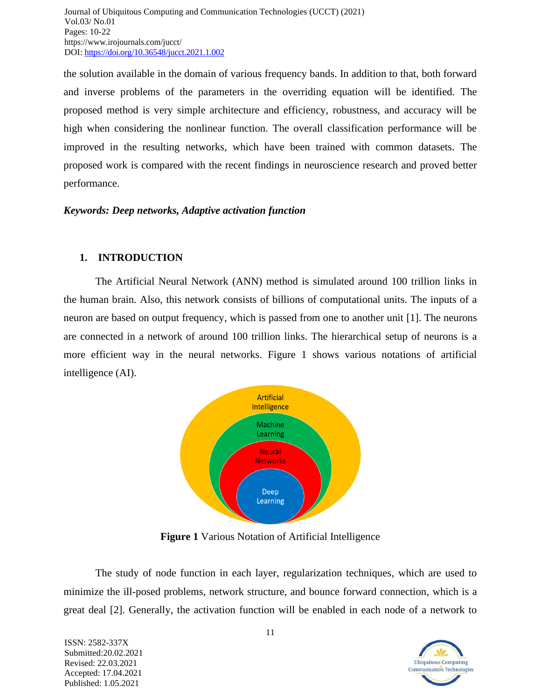the solution available in the domain of various frequency bands. In addition to that, both forward and inverse problems of the parameters in the overriding equation will be identified. The proposed method is very simple architecture and efficiency, robustness, and accuracy will be high when considering the nonlinear function. The overall classification performance will be improved in the resulting networks, which have been trained with common datasets. The proposed work is compared with the recent findings in neuroscience research and proved better performance.

# *Keywords: Deep networks, Adaptive activation function*

# **1. INTRODUCTION**

The Artificial Neural Network (ANN) method is simulated around 100 trillion links in the human brain. Also, this network consists of billions of computational units. The inputs of a neuron are based on output frequency, which is passed from one to another unit [1]. The neurons are connected in a network of around 100 trillion links. The hierarchical setup of neurons is a more efficient way in the neural networks. Figure 1 shows various notations of artificial intelligence (AI).



**Figure 1** Various Notation of Artificial Intelligence

The study of node function in each layer, regularization techniques, which are used to minimize the ill-posed problems, network structure, and bounce forward connection, which is a great deal [2]. Generally, the activation function will be enabled in each node of a network to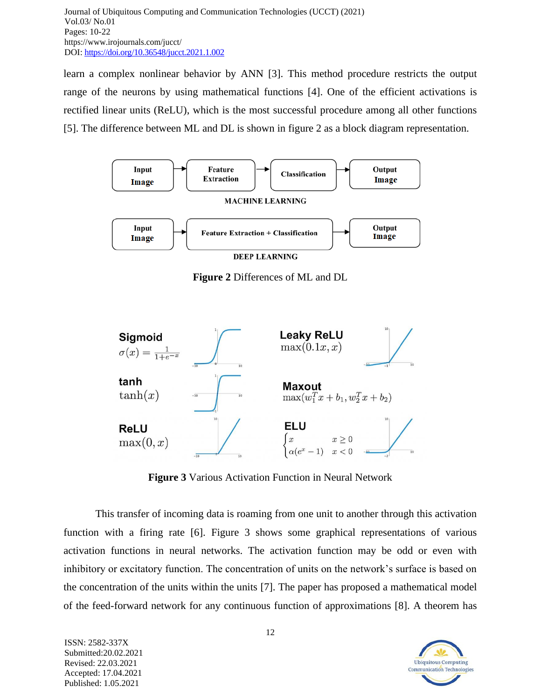learn a complex nonlinear behavior by ANN [3]. This method procedure restricts the output range of the neurons by using mathematical functions [4]. One of the efficient activations is rectified linear units (ReLU), which is the most successful procedure among all other functions [5]. The difference between ML and DL is shown in figure 2 as a block diagram representation.



**Figure 2** Differences of ML and DL



**Figure 3** Various Activation Function in Neural Network

This transfer of incoming data is roaming from one unit to another through this activation function with a firing rate [6]. Figure 3 shows some graphical representations of various activation functions in neural networks. The activation function may be odd or even with inhibitory or excitatory function. The concentration of units on the network's surface is based on the concentration of the units within the units [7]. The paper has proposed a mathematical model of the feed-forward network for any continuous function of approximations [8]. A theorem has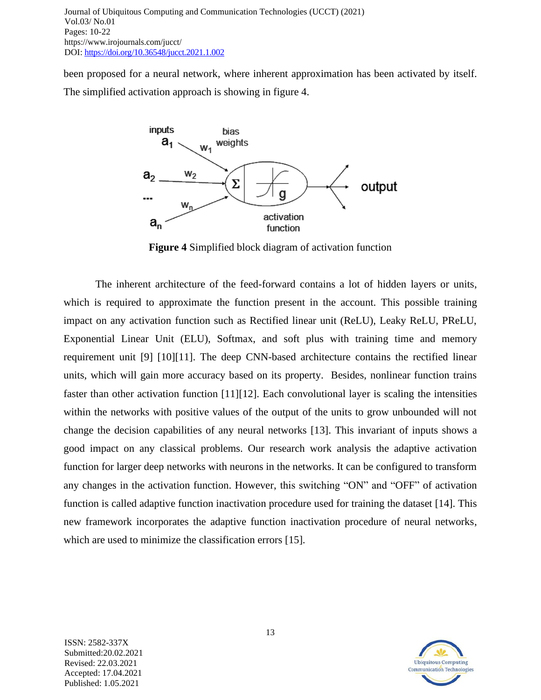been proposed for a neural network, where inherent approximation has been activated by itself. The simplified activation approach is showing in figure 4.



**Figure 4** Simplified block diagram of activation function

The inherent architecture of the feed-forward contains a lot of hidden layers or units, which is required to approximate the function present in the account. This possible training impact on any activation function such as Rectified linear unit (ReLU), Leaky ReLU, PReLU, Exponential Linear Unit (ELU), Softmax, and soft plus with training time and memory requirement unit [9] [10][11]. The deep CNN-based architecture contains the rectified linear units, which will gain more accuracy based on its property. Besides, nonlinear function trains faster than other activation function [11][12]. Each convolutional layer is scaling the intensities within the networks with positive values of the output of the units to grow unbounded will not change the decision capabilities of any neural networks [13]. This invariant of inputs shows a good impact on any classical problems. Our research work analysis the adaptive activation function for larger deep networks with neurons in the networks. It can be configured to transform any changes in the activation function. However, this switching "ON" and "OFF" of activation function is called adaptive function inactivation procedure used for training the dataset [14]. This new framework incorporates the adaptive function inactivation procedure of neural networks, which are used to minimize the classification errors [15].

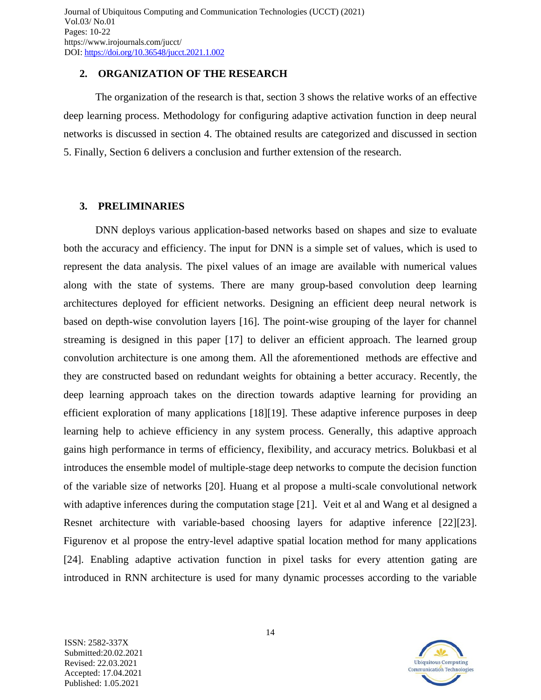#### **2. ORGANIZATION OF THE RESEARCH**

The organization of the research is that, section 3 shows the relative works of an effective deep learning process. Methodology for configuring adaptive activation function in deep neural networks is discussed in section 4. The obtained results are categorized and discussed in section 5. Finally, Section 6 delivers a conclusion and further extension of the research.

# **3. PRELIMINARIES**

DNN deploys various application-based networks based on shapes and size to evaluate both the accuracy and efficiency. The input for DNN is a simple set of values, which is used to represent the data analysis. The pixel values of an image are available with numerical values along with the state of systems. There are many group-based convolution deep learning architectures deployed for efficient networks. Designing an efficient deep neural network is based on depth-wise convolution layers [16]. The point-wise grouping of the layer for channel streaming is designed in this paper [17] to deliver an efficient approach. The learned group convolution architecture is one among them. All the aforementioned methods are effective and they are constructed based on redundant weights for obtaining a better accuracy. Recently, the deep learning approach takes on the direction towards adaptive learning for providing an efficient exploration of many applications [18][19]. These adaptive inference purposes in deep learning help to achieve efficiency in any system process. Generally, this adaptive approach gains high performance in terms of efficiency, flexibility, and accuracy metrics. Bolukbasi et al introduces the ensemble model of multiple-stage deep networks to compute the decision function of the variable size of networks [20]. Huang et al propose a multi-scale convolutional network with adaptive inferences during the computation stage [21]. Veit et al and Wang et al designed a Resnet architecture with variable-based choosing layers for adaptive inference [22][23]. Figurenov et al propose the entry-level adaptive spatial location method for many applications [24]. Enabling adaptive activation function in pixel tasks for every attention gating are introduced in RNN architecture is used for many dynamic processes according to the variable

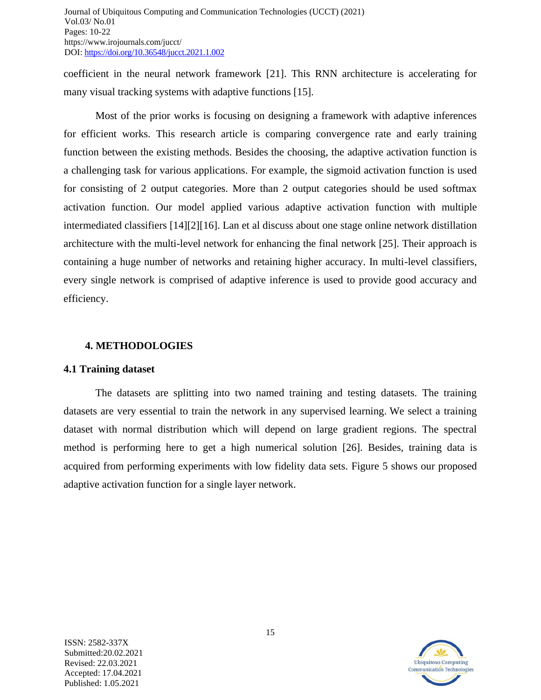coefficient in the neural network framework [21]. This RNN architecture is accelerating for many visual tracking systems with adaptive functions [15].

Most of the prior works is focusing on designing a framework with adaptive inferences for efficient works. This research article is comparing convergence rate and early training function between the existing methods. Besides the choosing, the adaptive activation function is a challenging task for various applications. For example, the sigmoid activation function is used for consisting of 2 output categories. More than 2 output categories should be used softmax activation function. Our model applied various adaptive activation function with multiple intermediated classifiers [14][2][16]. Lan et al discuss about one stage online network distillation architecture with the multi-level network for enhancing the final network [25]. Their approach is containing a huge number of networks and retaining higher accuracy. In multi-level classifiers, every single network is comprised of adaptive inference is used to provide good accuracy and efficiency.

# **4. METHODOLOGIES**

#### **4.1 Training dataset**

The datasets are splitting into two named training and testing datasets. The training datasets are very essential to train the network in any supervised learning. We select a training dataset with normal distribution which will depend on large gradient regions. The spectral method is performing here to get a high numerical solution [26]. Besides, training data is acquired from performing experiments with low fidelity data sets. Figure 5 shows our proposed adaptive activation function for a single layer network.

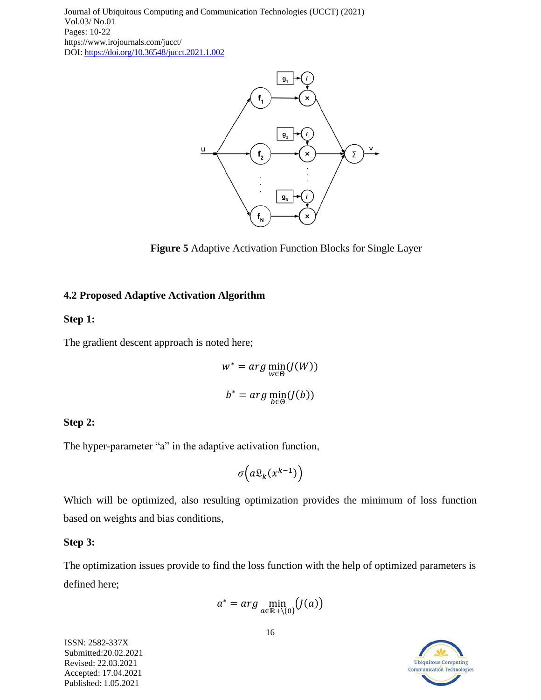

**Figure 5** Adaptive Activation Function Blocks for Single Layer

# **4.2 Proposed Adaptive Activation Algorithm**

# **Step 1:**

The gradient descent approach is noted here;

$$
w^* = arg \min_{w \in \Theta} (J(W))
$$

$$
b^* = arg \min_{b \in \Theta} (J(b))
$$

# **Step 2:**

The hyper-parameter "a" in the adaptive activation function,

$$
\sigma\left(a\mathfrak{L}_k(x^{k-1})\right)
$$

Which will be optimized, also resulting optimization provides the minimum of loss function based on weights and bias conditions,

#### **Step 3:**

The optimization issues provide to find the loss function with the help of optimized parameters is defined here;

$$
a^* = arg \min_{a \in \mathbb{R}^+ \setminus \{0\}} (J(a))
$$

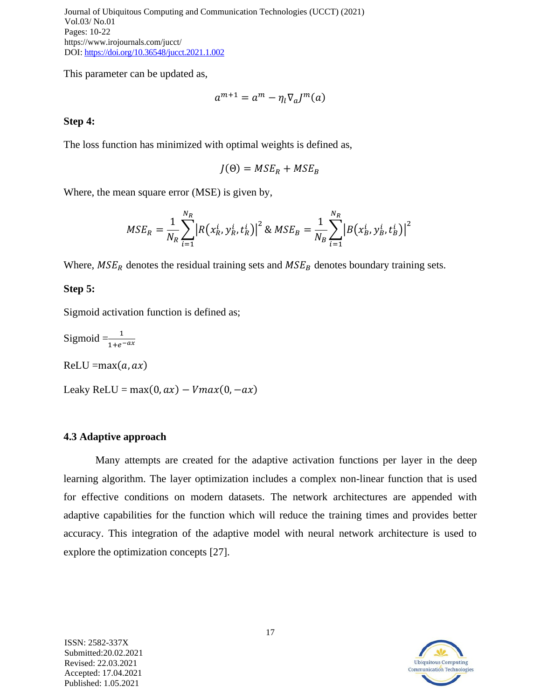This parameter can be updated as,

$$
a^{m+1} = a^m - \eta_l \nabla_a J^m(a)
$$

#### **Step 4:**

The loss function has minimized with optimal weights is defined as,

$$
J(\Theta) = MSE_R + MSE_B
$$

Where, the mean square error (MSE) is given by,

$$
MSE_R = \frac{1}{N_R} \sum_{i=1}^{N_R} \left| R(x_R^i, y_R^i, t_R^i) \right|^2 \& MSE_B = \frac{1}{N_B} \sum_{i=1}^{N_R} \left| B(x_B^i, y_B^i, t_B^i) \right|^2
$$

Where,  $MSE_R$  denotes the residual training sets and  $MSE_B$  denotes boundary training sets.

#### **Step 5:**

Sigmoid activation function is defined as;

Sigmoid  $=\frac{1}{1+e^{-ax}}$  $ReLU = max(a, ax)$ Leaky ReLU = max $(0, ax)$  –  $V$ max $(0, -ax)$ 

#### **4.3 Adaptive approach**

Many attempts are created for the adaptive activation functions per layer in the deep learning algorithm. The layer optimization includes a complex non-linear function that is used for effective conditions on modern datasets. The network architectures are appended with adaptive capabilities for the function which will reduce the training times and provides better accuracy. This integration of the adaptive model with neural network architecture is used to explore the optimization concepts [27].



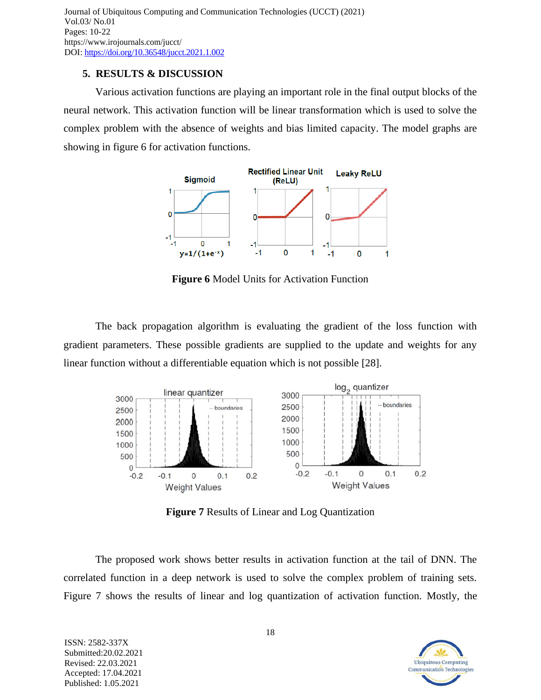# **5. RESULTS & DISCUSSION**

Various activation functions are playing an important role in the final output blocks of the neural network. This activation function will be linear transformation which is used to solve the complex problem with the absence of weights and bias limited capacity. The model graphs are showing in figure 6 for activation functions.



**Figure 6** Model Units for Activation Function

The back propagation algorithm is evaluating the gradient of the loss function with gradient parameters. These possible gradients are supplied to the update and weights for any linear function without a differentiable equation which is not possible [28].



**Figure 7** Results of Linear and Log Quantization

The proposed work shows better results in activation function at the tail of DNN. The correlated function in a deep network is used to solve the complex problem of training sets. Figure 7 shows the results of linear and log quantization of activation function. Mostly, the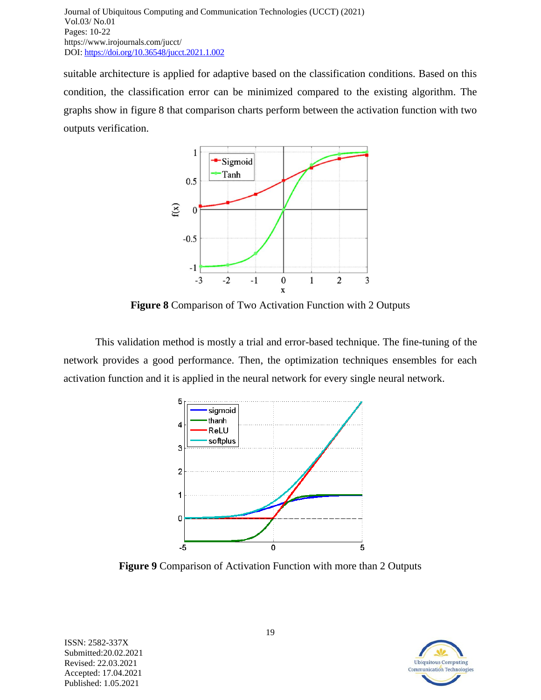suitable architecture is applied for adaptive based on the classification conditions. Based on this condition, the classification error can be minimized compared to the existing algorithm. The graphs show in figure 8 that comparison charts perform between the activation function with two outputs verification.



**Figure 8** Comparison of Two Activation Function with 2 Outputs

This validation method is mostly a trial and error-based technique. The fine-tuning of the network provides a good performance. Then, the optimization techniques ensembles for each activation function and it is applied in the neural network for every single neural network.



**Figure 9** Comparison of Activation Function with more than 2 Outputs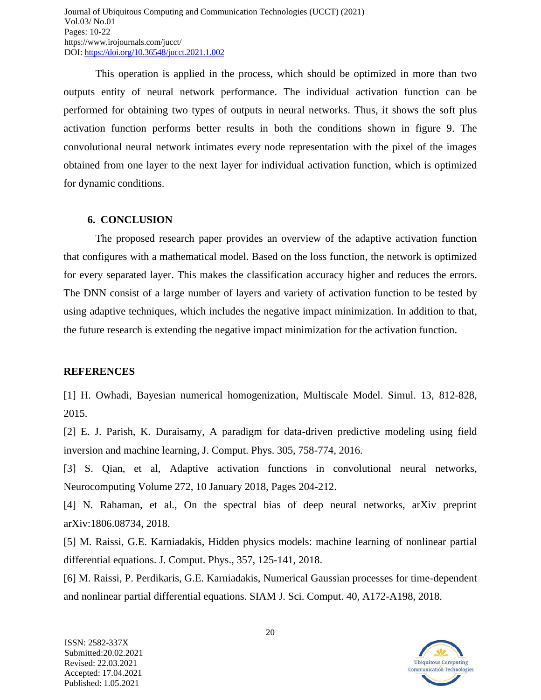This operation is applied in the process, which should be optimized in more than two outputs entity of neural network performance. The individual activation function can be performed for obtaining two types of outputs in neural networks. Thus, it shows the soft plus activation function performs better results in both the conditions shown in figure 9. The convolutional neural network intimates every node representation with the pixel of the images obtained from one layer to the next layer for individual activation function, which is optimized for dynamic conditions.

#### **6. CONCLUSION**

The proposed research paper provides an overview of the adaptive activation function that configures with a mathematical model. Based on the loss function, the network is optimized for every separated layer. This makes the classification accuracy higher and reduces the errors. The DNN consist of a large number of layers and variety of activation function to be tested by using adaptive techniques, which includes the negative impact minimization. In addition to that, the future research is extending the negative impact minimization for the activation function.

# **REFERENCES**

[1] H. Owhadi, Bayesian numerical homogenization, Multiscale Model. Simul. 13, 812-828, 2015.

[2] E. J. Parish, K. Duraisamy, A paradigm for data-driven predictive modeling using field inversion and machine learning, J. Comput. Phys. 305, 758-774, 2016.

[3] S. Qian, et al, Adaptive activation functions in convolutional neural networks, Neurocomputing Volume 272, 10 January 2018, Pages 204-212.

[4] N. Rahaman, et al., On the spectral bias of deep neural networks, arXiv preprint arXiv:1806.08734, 2018.

[5] M. Raissi, G.E. Karniadakis, Hidden physics models: machine learning of nonlinear partial differential equations. J. Comput. Phys., 357, 125-141, 2018.

[6] M. Raissi, P. Perdikaris, G.E. Karniadakis, Numerical Gaussian processes for time-dependent and nonlinear partial differential equations. SIAM J. Sci. Comput. 40, A172-A198, 2018.

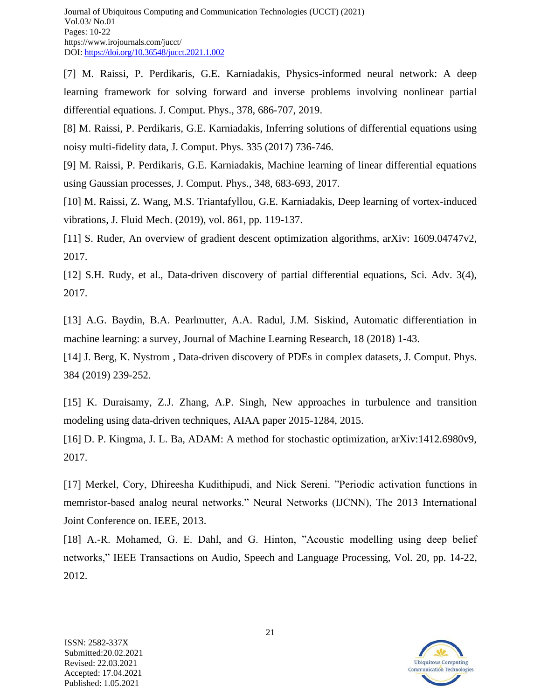[7] M. Raissi, P. Perdikaris, G.E. Karniadakis, Physics-informed neural network: A deep learning framework for solving forward and inverse problems involving nonlinear partial differential equations. J. Comput. Phys., 378, 686-707, 2019.

[8] M. Raissi, P. Perdikaris, G.E. Karniadakis, Inferring solutions of differential equations using noisy multi-fidelity data, J. Comput. Phys. 335 (2017) 736-746.

[9] M. Raissi, P. Perdikaris, G.E. Karniadakis, Machine learning of linear differential equations using Gaussian processes, J. Comput. Phys., 348, 683-693, 2017.

[10] M. Raissi, Z. Wang, M.S. Triantafyllou, G.E. Karniadakis, Deep learning of vortex-induced vibrations, J. Fluid Mech. (2019), vol. 861, pp. 119-137.

[11] S. Ruder, An overview of gradient descent optimization algorithms, arXiv: 1609.04747v2, 2017.

[12] S.H. Rudy, et al., Data-driven discovery of partial differential equations, Sci. Adv. 3(4), 2017.

[13] A.G. Baydin, B.A. Pearlmutter, A.A. Radul, J.M. Siskind, Automatic differentiation in machine learning: a survey, Journal of Machine Learning Research, 18 (2018) 1-43.

[14] J. Berg, K. Nystrom , Data-driven discovery of PDEs in complex datasets, J. Comput. Phys. 384 (2019) 239-252.

[15] K. Duraisamy, Z.J. Zhang, A.P. Singh, New approaches in turbulence and transition modeling using data-driven techniques, AIAA paper 2015-1284, 2015.

[16] D. P. Kingma, J. L. Ba, ADAM: A method for stochastic optimization, arXiv:1412.6980v9, 2017.

[17] Merkel, Cory, Dhireesha Kudithipudi, and Nick Sereni. "Periodic activation functions in memristor-based analog neural networks." Neural Networks (IJCNN), The 2013 International Joint Conference on. IEEE, 2013.

[18] A.-R. Mohamed, G. E. Dahl, and G. Hinton, "Acoustic modelling using deep belief networks," IEEE Transactions on Audio, Speech and Language Processing, Vol. 20, pp. 14-22, 2012.